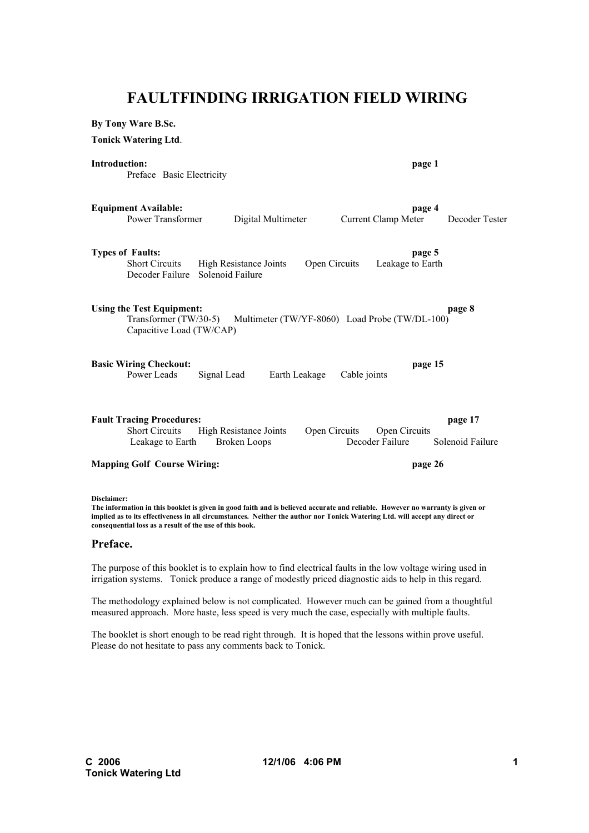# **FAULTFINDING IRRIGATION FIELD WIRING**

**By Tony Ware B.Sc.**

**Tonick Watering Ltd**.

#### **Introduction: page 1**

Preface Basic Electricity

|                                                                                                                                                   | <b>Equipment Available:</b><br>Power Transformer                              | Digital Multimeter                                                                                                                                                                                                                                           |               | page 4<br>Current Clamp Meter    | Decoder Tester              |  |  |
|---------------------------------------------------------------------------------------------------------------------------------------------------|-------------------------------------------------------------------------------|--------------------------------------------------------------------------------------------------------------------------------------------------------------------------------------------------------------------------------------------------------------|---------------|----------------------------------|-----------------------------|--|--|
| <b>Types of Faults:</b>                                                                                                                           | <b>Short Circuits</b><br>Decoder Failure                                      | High Resistance Joints<br>Solenoid Failure                                                                                                                                                                                                                   | Open Circuits | page 5<br>Leakage to Earth       |                             |  |  |
| <b>Using the Test Equipment:</b><br>page 8<br>Transformer (TW/30-5)<br>Multimeter (TW/YF-8060) Load Probe (TW/DL-100)<br>Capacitive Load (TW/CAP) |                                                                               |                                                                                                                                                                                                                                                              |               |                                  |                             |  |  |
|                                                                                                                                                   | <b>Basic Wiring Checkout:</b><br>Power Leads                                  | Signal Lead<br>Earth Leakage                                                                                                                                                                                                                                 | Cable joints  | page 15                          |                             |  |  |
|                                                                                                                                                   | <b>Fault Tracing Procedures:</b><br><b>Short Circuits</b><br>Leakage to Earth | High Resistance Joints<br><b>Broken Loops</b>                                                                                                                                                                                                                | Open Circuits | Open Circuits<br>Decoder Failure | page 17<br>Solenoid Failure |  |  |
| <b>Mapping Golf Course Wiring:</b>                                                                                                                |                                                                               |                                                                                                                                                                                                                                                              |               | page 26                          |                             |  |  |
| Disclaimer:                                                                                                                                       | consequential loss as a result of the use of this book.                       | The information in this booklet is given in good faith and is believed accurate and reliable. However no warranty is given or<br>implied as to its effectiveness in all circumstances. Neither the author nor Tonick Watering Ltd. will accept any direct or |               |                                  |                             |  |  |

## **Preface.**

The purpose of this booklet is to explain how to find electrical faults in the low voltage wiring used in irrigation systems. Tonick produce a range of modestly priced diagnostic aids to help in this regard.

The methodology explained below is not complicated. However much can be gained from a thoughtful measured approach. More haste, less speed is very much the case, especially with multiple faults.

The booklet is short enough to be read right through. It is hoped that the lessons within prove useful. Please do not hesitate to pass any comments back to Tonick.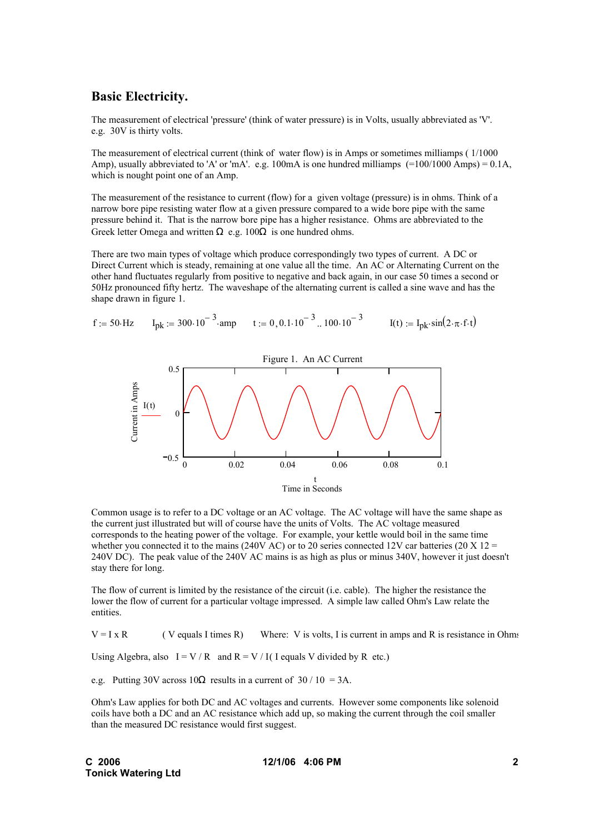# **Basic Electricity.**

The measurement of electrical 'pressure' (think of water pressure) is in Volts, usually abbreviated as 'V'. e.g. 30V is thirty volts.

The measurement of electrical current (think of water flow) is in Amps or sometimes milliamps ( 1/1000 Amp), usually abbreviated to 'A' or 'mA'. e.g. 100mA is one hundred milliamps (=100/1000 Amps) = 0.1A, which is nought point one of an Amp.

The measurement of the resistance to current (flow) for a given voltage (pressure) is in ohms. Think of a narrow bore pipe resisting water flow at a given pressure compared to a wide bore pipe with the same pressure behind it. That is the narrow bore pipe has a higher resistance. Ohms are abbreviated to the Greek letter Omega and written  $\Omega$  e.g. 100 $\Omega$  is one hundred ohms.

There are two main types of voltage which produce correspondingly two types of current. A DC or Direct Current which is steady, remaining at one value all the time. An AC or Alternating Current on the other hand fluctuates regularly from positive to negative and back again, in our case 50 times a second or 50Hz pronounced fifty hertz. The waveshape of the alternating current is called a sine wave and has the shape drawn in figure 1.

$$
f := 50 \text{ Hz} \qquad I_{pk} := 300 \cdot 10^{-3} \text{ amp} \qquad t := 0, 0.1 \cdot 10^{-3} \text{ ... } 100 \cdot 10^{-3} \qquad I(t) := I_{pk} \cdot \sin(2 \cdot \pi \cdot f \cdot t)
$$



Common usage is to refer to a DC voltage or an AC voltage. The AC voltage will have the same shape as the current just illustrated but will of course have the units of Volts. The AC voltage measured corresponds to the heating power of the voltage. For example, your kettle would boil in the same time whether you connected it to the mains (240V AC) or to 20 series connected 12V car batteries (20 X 12 = 240V DC). The peak value of the 240V AC mains is as high as plus or minus 340V, however it just doesn't stay there for long.

The flow of current is limited by the resistance of the circuit (i.e. cable). The higher the resistance the lower the flow of current for a particular voltage impressed. A simple law called Ohm's Law relate the entities.

 $V = I \times R$  ( V equals I times R) Where: V is volts, I is current in amps and R is resistance in Ohms

Using Algebra, also  $I = V / R$  and  $R = V / I$  I equals V divided by R etc.)

e.g. Putting 30V across  $10\Omega$  results in a current of 30 / 10 = 3A.

Ohm's Law applies for both DC and AC voltages and currents. However some components like solenoid coils have both a DC and an AC resistance which add up, so making the current through the coil smaller than the measured DC resistance would first suggest.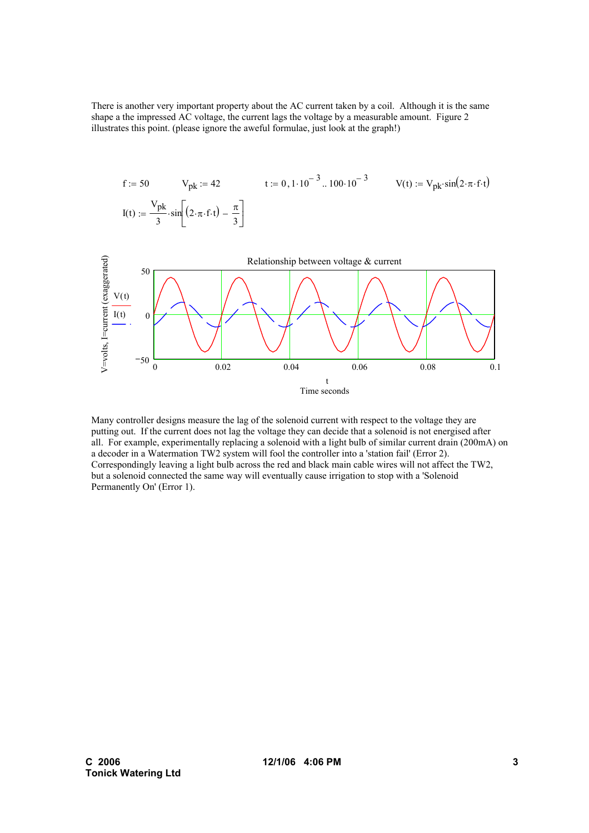There is another very important property about the AC current taken by a coil. Although it is the same shape a the impressed AC voltage, the current lags the voltage by a measurable amount. Figure 2 illustrates this point. (please ignore the aweful formulae, just look at the graph!)

$$
f := 50
$$
  $V_{pk} := 42$   $t := 0, 1 \cdot 10^{-3} \dots 100 \cdot 10^{-3}$   $V(t) := V_{pk} \cdot \sin(2 \cdot \pi \cdot f \cdot t)$   

$$
I(t) := \frac{V_{pk}}{3} \cdot \sin\left[(2 \cdot \pi \cdot f \cdot t) - \frac{\pi}{3}\right]
$$



Many controller designs measure the lag of the solenoid current with respect to the voltage they are putting out. If the current does not lag the voltage they can decide that a solenoid is not energised after all. For example, experimentally replacing a solenoid with a light bulb of similar current drain (200mA) on a decoder in a Watermation TW2 system will fool the controller into a 'station fail' (Error 2). Correspondingly leaving a light bulb across the red and black main cable wires will not affect the TW2, but a solenoid connected the same way will eventually cause irrigation to stop with a 'Solenoid Permanently On' (Error 1).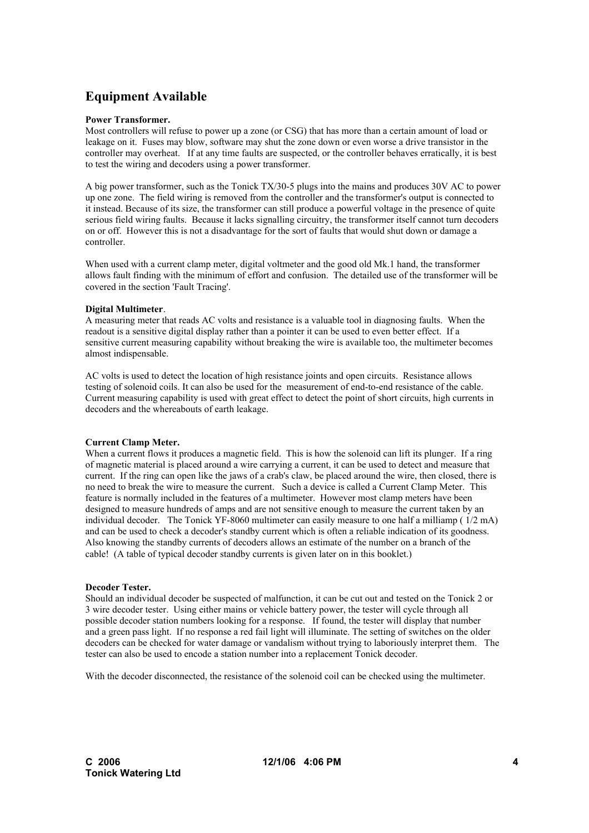# **Equipment Available**

### **Power Transformer.**

Most controllers will refuse to power up a zone (or CSG) that has more than a certain amount of load or leakage on it. Fuses may blow, software may shut the zone down or even worse a drive transistor in the controller may overheat. If at any time faults are suspected, or the controller behaves erratically, it is best to test the wiring and decoders using a power transformer.

A big power transformer, such as the Tonick TX/30-5 plugs into the mains and produces 30V AC to power up one zone. The field wiring is removed from the controller and the transformer's output is connected to it instead. Because of its size, the transformer can still produce a powerful voltage in the presence of quite serious field wiring faults. Because it lacks signalling circuitry, the transformer itself cannot turn decoders on or off. However this is not a disadvantage for the sort of faults that would shut down or damage a controller.

When used with a current clamp meter, digital voltmeter and the good old Mk.1 hand, the transformer allows fault finding with the minimum of effort and confusion. The detailed use of the transformer will be covered in the section 'Fault Tracing'.

#### **Digital Multimeter**.

A measuring meter that reads AC volts and resistance is a valuable tool in diagnosing faults. When the readout is a sensitive digital display rather than a pointer it can be used to even better effect. If a sensitive current measuring capability without breaking the wire is available too, the multimeter becomes almost indispensable.

AC volts is used to detect the location of high resistance joints and open circuits. Resistance allows testing of solenoid coils. It can also be used for the measurement of end-to-end resistance of the cable. Current measuring capability is used with great effect to detect the point of short circuits, high currents in decoders and the whereabouts of earth leakage.

## **Current Clamp Meter.**

When a current flows it produces a magnetic field. This is how the solenoid can lift its plunger. If a ring of magnetic material is placed around a wire carrying a current, it can be used to detect and measure that current. If the ring can open like the jaws of a crab's claw, be placed around the wire, then closed, there is no need to break the wire to measure the current. Such a device is called a Current Clamp Meter. This feature is normally included in the features of a multimeter. However most clamp meters have been designed to measure hundreds of amps and are not sensitive enough to measure the current taken by an individual decoder. The Tonick YF-8060 multimeter can easily measure to one half a milliamp ( 1/2 mA) and can be used to check a decoder's standby current which is often a reliable indication of its goodness. Also knowing the standby currents of decoders allows an estimate of the number on a branch of the cable! (A table of typical decoder standby currents is given later on in this booklet.)

#### **Decoder Tester.**

Should an individual decoder be suspected of malfunction, it can be cut out and tested on the Tonick 2 or 3 wire decoder tester. Using either mains or vehicle battery power, the tester will cycle through all possible decoder station numbers looking for a response. If found, the tester will display that number and a green pass light. If no response a red fail light will illuminate. The setting of switches on the older decoders can be checked for water damage or vandalism without trying to laboriously interpret them. The tester can also be used to encode a station number into a replacement Tonick decoder.

With the decoder disconnected, the resistance of the solenoid coil can be checked using the multimeter.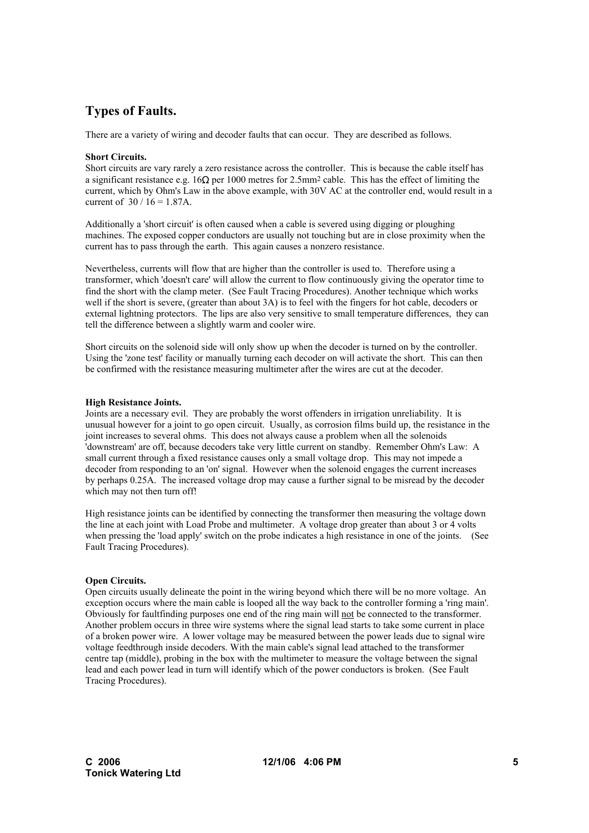# **Types of Faults.**

There are a variety of wiring and decoder faults that can occur. They are described as follows.

## **Short Circuits.**

Short circuits are vary rarely a zero resistance across the controller. This is because the cable itself has a significant resistance e.g. 16Ω per 1000 metres for 2.5mm2 cable. This has the effect of limiting the current, which by Ohm's Law in the above example, with 30V AC at the controller end, would result in a current of  $30 / 16 = 1.87$ A.

Additionally a 'short circuit' is often caused when a cable is severed using digging or ploughing machines. The exposed copper conductors are usually not touching but are in close proximity when the current has to pass through the earth. This again causes a nonzero resistance.

Nevertheless, currents will flow that are higher than the controller is used to. Therefore using a transformer, which 'doesn't care' will allow the current to flow continuously giving the operator time to find the short with the clamp meter. (See Fault Tracing Procedures). Another technique which works well if the short is severe, (greater than about 3A) is to feel with the fingers for hot cable, decoders or external lightning protectors. The lips are also very sensitive to small temperature differences, they can tell the difference between a slightly warm and cooler wire.

Short circuits on the solenoid side will only show up when the decoder is turned on by the controller. Using the 'zone test' facility or manually turning each decoder on will activate the short. This can then be confirmed with the resistance measuring multimeter after the wires are cut at the decoder.

#### **High Resistance Joints.**

Joints are a necessary evil. They are probably the worst offenders in irrigation unreliability. It is unusual however for a joint to go open circuit. Usually, as corrosion films build up, the resistance in the joint increases to several ohms. This does not always cause a problem when all the solenoids 'downstream' are off, because decoders take very little current on standby. Remember Ohm's Law: A small current through a fixed resistance causes only a small voltage drop. This may not impede a decoder from responding to an 'on' signal. However when the solenoid engages the current increases by perhaps 0.25A. The increased voltage drop may cause a further signal to be misread by the decoder which may not then turn off!

High resistance joints can be identified by connecting the transformer then measuring the voltage down the line at each joint with Load Probe and multimeter. A voltage drop greater than about 3 or 4 volts when pressing the 'load apply' switch on the probe indicates a high resistance in one of the joints. (See Fault Tracing Procedures).

## **Open Circuits.**

Open circuits usually delineate the point in the wiring beyond which there will be no more voltage. An exception occurs where the main cable is looped all the way back to the controller forming a 'ring main'. Obviously for faultfinding purposes one end of the ring main will not be connected to the transformer. Another problem occurs in three wire systems where the signal lead starts to take some current in place of a broken power wire. A lower voltage may be measured between the power leads due to signal wire voltage feedthrough inside decoders. With the main cable's signal lead attached to the transformer centre tap (middle), probing in the box with the multimeter to measure the voltage between the signal lead and each power lead in turn will identify which of the power conductors is broken. (See Fault Tracing Procedures).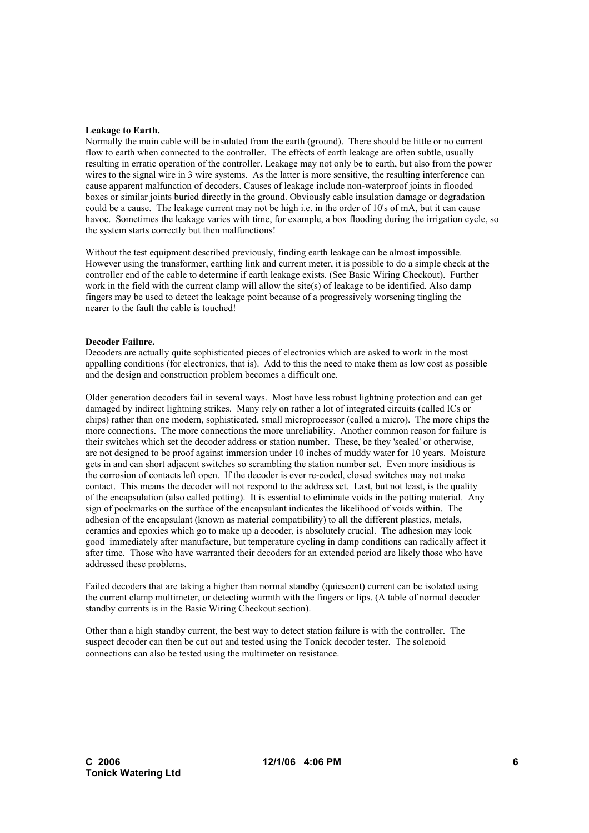#### **Leakage to Earth.**

Normally the main cable will be insulated from the earth (ground). There should be little or no current flow to earth when connected to the controller. The effects of earth leakage are often subtle, usually resulting in erratic operation of the controller. Leakage may not only be to earth, but also from the power wires to the signal wire in 3 wire systems. As the latter is more sensitive, the resulting interference can cause apparent malfunction of decoders. Causes of leakage include non-waterproof joints in flooded boxes or similar joints buried directly in the ground. Obviously cable insulation damage or degradation could be a cause. The leakage current may not be high i.e. in the order of 10's of mA, but it can cause havoc. Sometimes the leakage varies with time, for example, a box flooding during the irrigation cycle, so the system starts correctly but then malfunctions!

Without the test equipment described previously, finding earth leakage can be almost impossible. However using the transformer, earthing link and current meter, it is possible to do a simple check at the controller end of the cable to determine if earth leakage exists. (See Basic Wiring Checkout). Further work in the field with the current clamp will allow the site(s) of leakage to be identified. Also damp fingers may be used to detect the leakage point because of a progressively worsening tingling the nearer to the fault the cable is touched!

#### **Decoder Failure.**

Decoders are actually quite sophisticated pieces of electronics which are asked to work in the most appalling conditions (for electronics, that is). Add to this the need to make them as low cost as possible and the design and construction problem becomes a difficult one.

Older generation decoders fail in several ways. Most have less robust lightning protection and can get damaged by indirect lightning strikes. Many rely on rather a lot of integrated circuits (called ICs or chips) rather than one modern, sophisticated, small microprocessor (called a micro). The more chips the more connections. The more connections the more unreliability. Another common reason for failure is their switches which set the decoder address or station number. These, be they 'sealed' or otherwise, are not designed to be proof against immersion under 10 inches of muddy water for 10 years. Moisture gets in and can short adjacent switches so scrambling the station number set. Even more insidious is the corrosion of contacts left open. If the decoder is ever re-coded, closed switches may not make contact. This means the decoder will not respond to the address set. Last, but not least, is the quality of the encapsulation (also called potting). It is essential to eliminate voids in the potting material. Any sign of pockmarks on the surface of the encapsulant indicates the likelihood of voids within. The adhesion of the encapsulant (known as material compatibility) to all the different plastics, metals, ceramics and epoxies which go to make up a decoder, is absolutely crucial. The adhesion may look good immediately after manufacture, but temperature cycling in damp conditions can radically affect it after time. Those who have warranted their decoders for an extended period are likely those who have addressed these problems.

Failed decoders that are taking a higher than normal standby (quiescent) current can be isolated using the current clamp multimeter, or detecting warmth with the fingers or lips. (A table of normal decoder standby currents is in the Basic Wiring Checkout section).

Other than a high standby current, the best way to detect station failure is with the controller. The suspect decoder can then be cut out and tested using the Tonick decoder tester. The solenoid connections can also be tested using the multimeter on resistance.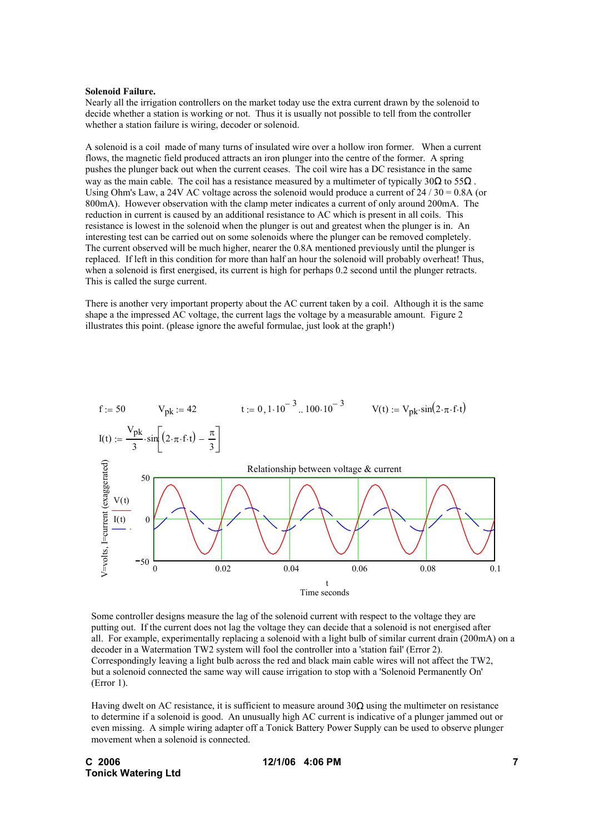#### **Solenoid Failure.**

Nearly all the irrigation controllers on the market today use the extra current drawn by the solenoid to decide whether a station is working or not. Thus it is usually not possible to tell from the controller whether a station failure is wiring, decoder or solenoid.

A solenoid is a coil made of many turns of insulated wire over a hollow iron former. When a current flows, the magnetic field produced attracts an iron plunger into the centre of the former. A spring pushes the plunger back out when the current ceases. The coil wire has a DC resistance in the same way as the main cable. The coil has a resistance measured by a multimeter of typically 30 $\Omega$  to 55 $\Omega$ . Using Ohm's Law, a 24V AC voltage across the solenoid would produce a current of  $24/30 = 0.8$ A (or 800mA). However observation with the clamp meter indicates a current of only around 200mA. The reduction in current is caused by an additional resistance to AC which is present in all coils. This resistance is lowest in the solenoid when the plunger is out and greatest when the plunger is in. An interesting test can be carried out on some solenoids where the plunger can be removed completely. The current observed will be much higher, nearer the 0.8A mentioned previously until the plunger is replaced. If left in this condition for more than half an hour the solenoid will probably overheat! Thus, when a solenoid is first energised, its current is high for perhaps 0.2 second until the plunger retracts. This is called the surge current.

There is another very important property about the AC current taken by a coil. Although it is the same shape a the impressed AC voltage, the current lags the voltage by a measurable amount. Figure 2 illustrates this point. (please ignore the aweful formulae, just look at the graph!)



Some controller designs measure the lag of the solenoid current with respect to the voltage they are putting out. If the current does not lag the voltage they can decide that a solenoid is not energised after all. For example, experimentally replacing a solenoid with a light bulb of similar current drain (200mA) on a decoder in a Watermation TW2 system will fool the controller into a 'station fail' (Error 2). Correspondingly leaving a light bulb across the red and black main cable wires will not affect the TW2, but a solenoid connected the same way will cause irrigation to stop with a 'Solenoid Permanently On' (Error 1).

Having dwelt on AC resistance, it is sufficient to measure around  $30\Omega$  using the multimeter on resistance to determine if a solenoid is good. An unusually high AC current is indicative of a plunger jammed out or even missing. A simple wiring adapter off a Tonick Battery Power Supply can be used to observe plunger movement when a solenoid is connected.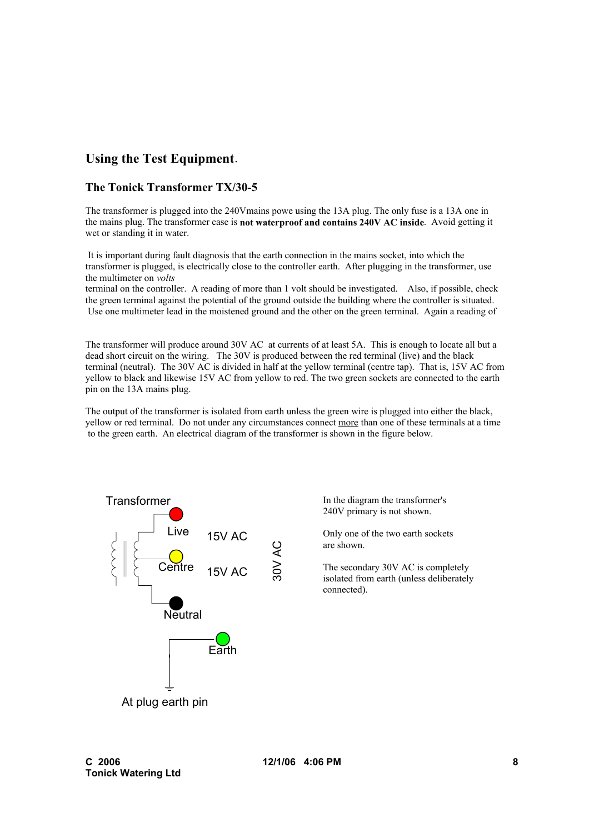# **Using the Test Equipment**.

# **The Tonick Transformer TX/30-5**

The transformer is plugged into the 240Vmains powe using the 13A plug. The only fuse is a 13A one in the mains plug. The transformer case is **not waterproof and contains 240V AC inside**. Avoid getting it wet or standing it in water.

 It is important during fault diagnosis that the earth connection in the mains socket, into which the transformer is plugged, is electrically close to the controller earth. After plugging in the transformer, use the multimeter on *volts*

terminal on the controller. A reading of more than 1 volt should be investigated. Also, if possible, check the green terminal against the potential of the ground outside the building where the controller is situated. Use one multimeter lead in the moistened ground and the other on the green terminal. Again a reading of

The transformer will produce around 30V AC at currents of at least 5A. This is enough to locate all but a dead short circuit on the wiring. The 30V is produced between the red terminal (live) and the black terminal (neutral). The 30V AC is divided in half at the yellow terminal (centre tap). That is, 15V AC from yellow to black and likewise 15V AC from yellow to red. The two green sockets are connected to the earth pin on the 13A mains plug.

The output of the transformer is isolated from earth unless the green wire is plugged into either the black, yellow or red terminal. Do not under any circumstances connect more than one of these terminals at a time to the green earth. An electrical diagram of the transformer is shown in the figure below.



In the diagram the transformer's 240V primary is not shown.

Only one of the two earth sockets are shown.

The secondary 30V AC is completely isolated from earth (unless deliberately connected).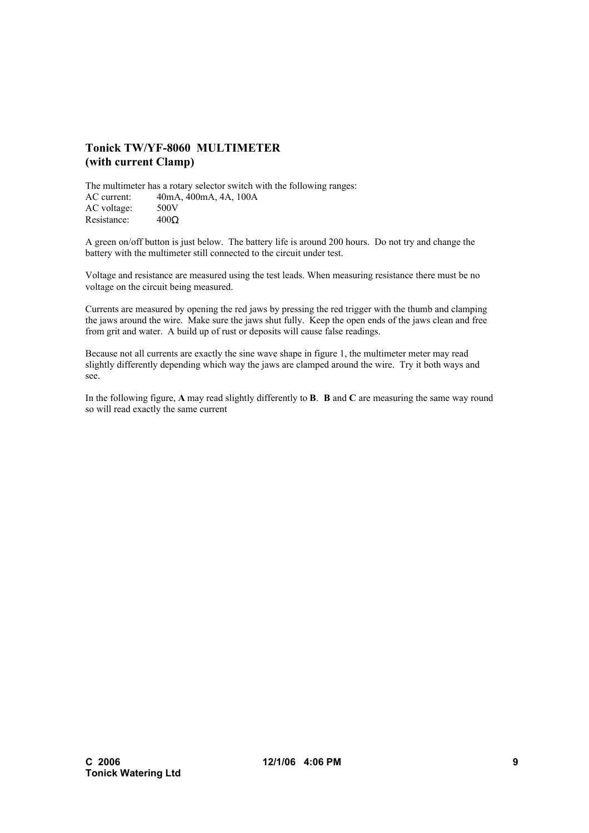# **Tonick TW/YF-8060 MULTIMETER (with current Clamp)**

The multimeter has a rotary selector switch with the following ranges: AC current: 40mA, 400mA, 4A, 100A AC voltage: 500V Resistance: 400Ω

A green on/off button is just below. The battery life is around 200 hours. Do not try and change the battery with the multimeter still connected to the circuit under test.

Voltage and resistance are measured using the test leads. When measuring resistance there must be no voltage on the circuit being measured.

Currents are measured by opening the red jaws by pressing the red trigger with the thumb and clamping the jaws around the wire. Make sure the jaws shut fully. Keep the open ends of the jaws clean and free from grit and water. A build up of rust or deposits will cause false readings.

Because not all currents are exactly the sine wave shape in figure 1, the multimeter meter may read slightly differently depending which way the jaws are clamped around the wire. Try it both ways and see.

In the following figure, **A** may read slightly differently to **B**. **B** and **C** are measuring the same way round so will read exactly the same current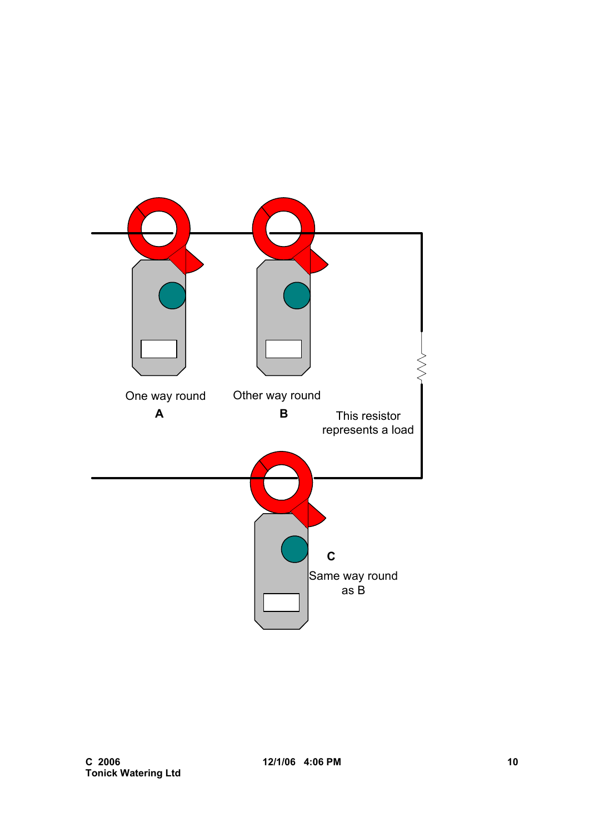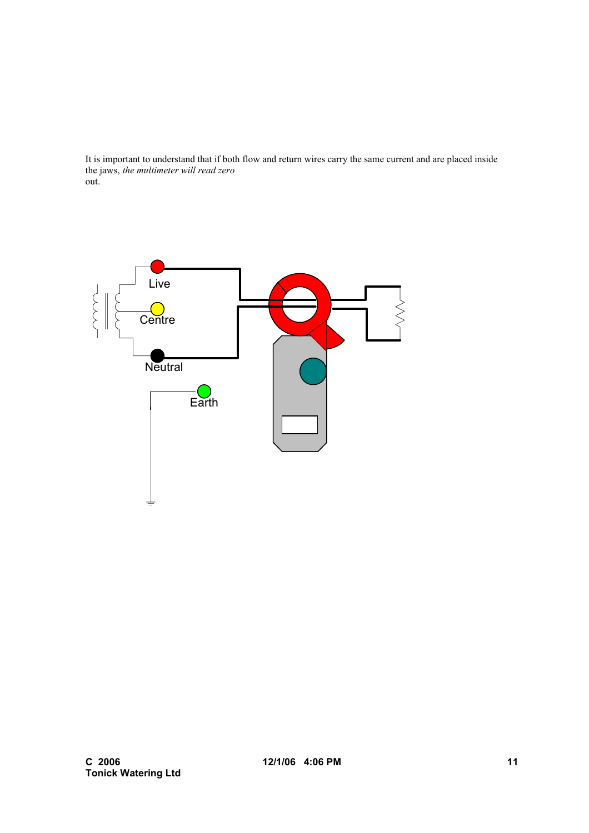It is important to understand that if both flow and return wires carry the same current and are placed inside the jaws, *the multimeter will read zero* out.

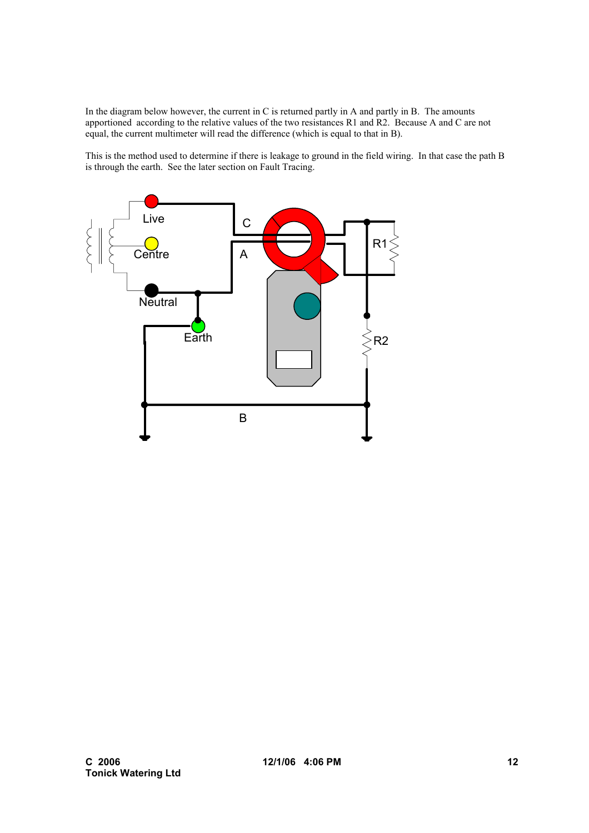In the diagram below however, the current in C is returned partly in A and partly in B. The amounts apportioned according to the relative values of the two resistances R1 and R2. Because A and C are not equal, the current multimeter will read the difference (which is equal to that in B).

This is the method used to determine if there is leakage to ground in the field wiring. In that case the path B is through the earth. See the later section on Fault Tracing.

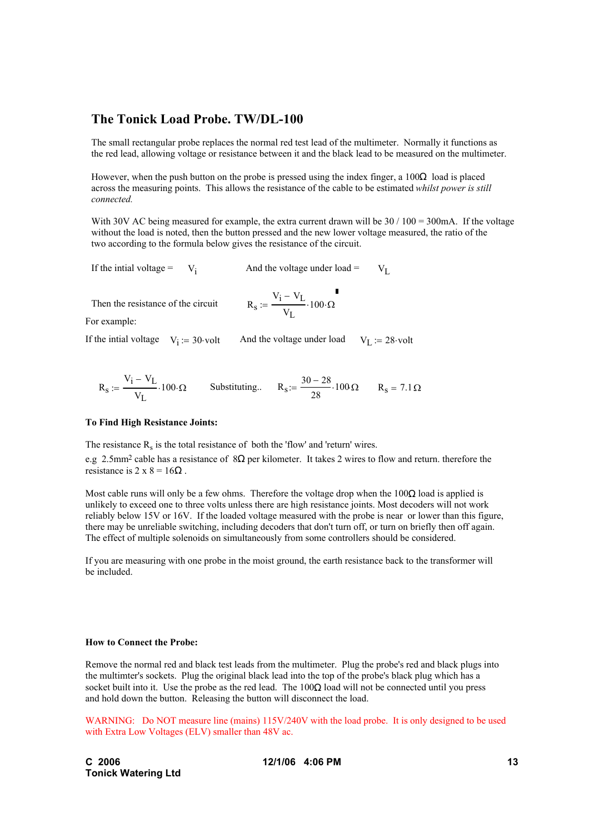# **The Tonick Load Probe. TW/DL-100**

The small rectangular probe replaces the normal red test lead of the multimeter. Normally it functions as the red lead, allowing voltage or resistance between it and the black lead to be measured on the multimeter.

However, when the push button on the probe is pressed using the index finger, a  $100\Omega$  load is placed across the measuring points. This allows the resistance of the cable to be estimated *whilst power is still connected.*

With 30V AC being measured for example, the extra current drawn will be  $30 / 100 = 300$  mA. If the voltage without the load is noted, then the button pressed and the new lower voltage measured, the ratio of the two according to the formula below gives the resistance of the circuit.

If the intial voltage =  $V_i$  And the voltage under load =  $V_I$ 

Then the resistance of the circuit

$$
R_S := \frac{V_i - V_L}{V_L} \cdot 100 \cdot \Omega
$$

For example:

If the intial voltage  $V_i := 30$  volt And the voltage under load  $V_L := 28$  volt

$$
R_S := \frac{V_i - V_L}{V_L} \cdot 100 \cdot \Omega
$$
 Substituting... 
$$
R_S := \frac{30 - 28}{28} \cdot 100 \Omega
$$
 
$$
R_S = 7.1 \Omega
$$

#### **To Find High Resistance Joints:**

The resistance  $R_s$  is the total resistance of both the 'flow' and 'return' wires.

e.g 2.5mm<sup>2</sup> cable has a resistance of  $8\Omega$  per kilometer. It takes 2 wires to flow and return. therefore the resistance is  $2 \times 8 = 16\Omega$ .

Most cable runs will only be a few ohms. Therefore the voltage drop when the  $100\Omega$  load is applied is unlikely to exceed one to three volts unless there are high resistance joints. Most decoders will not work reliably below 15V or 16V. If the loaded voltage measured with the probe is near or lower than this figure, there may be unreliable switching, including decoders that don't turn off, or turn on briefly then off again. The effect of multiple solenoids on simultaneously from some controllers should be considered.

If you are measuring with one probe in the moist ground, the earth resistance back to the transformer will be included.

#### **How to Connect the Probe:**

Remove the normal red and black test leads from the multimeter. Plug the probe's red and black plugs into the multimter's sockets. Plug the original black lead into the top of the probe's black plug which has a socket built into it. Use the probe as the red lead. The  $100\Omega$  load will not be connected until you press and hold down the button. Releasing the button will disconnect the load.

WARNING: Do NOT measure line (mains) 115V/240V with the load probe. It is only designed to be used with Extra Low Voltages (ELV) smaller than 48V ac.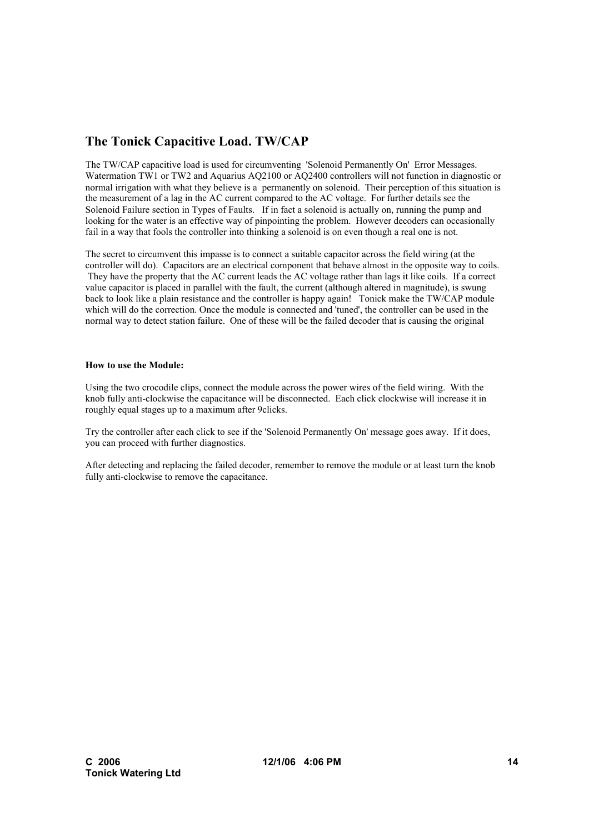# **The Tonick Capacitive Load. TW/CAP**

The TW/CAP capacitive load is used for circumventing 'Solenoid Permanently On' Error Messages. Watermation TW1 or TW2 and Aquarius AQ2100 or AQ2400 controllers will not function in diagnostic or normal irrigation with what they believe is a permanently on solenoid. Their perception of this situation is the measurement of a lag in the AC current compared to the AC voltage. For further details see the Solenoid Failure section in Types of Faults. If in fact a solenoid is actually on, running the pump and looking for the water is an effective way of pinpointing the problem. However decoders can occasionally fail in a way that fools the controller into thinking a solenoid is on even though a real one is not.

The secret to circumvent this impasse is to connect a suitable capacitor across the field wiring (at the controller will do). Capacitors are an electrical component that behave almost in the opposite way to coils. They have the property that the AC current leads the AC voltage rather than lags it like coils. If a correct value capacitor is placed in parallel with the fault, the current (although altered in magnitude), is swung back to look like a plain resistance and the controller is happy again! Tonick make the TW/CAP module which will do the correction. Once the module is connected and 'tuned', the controller can be used in the normal way to detect station failure. One of these will be the failed decoder that is causing the original

## **How to use the Module:**

Using the two crocodile clips, connect the module across the power wires of the field wiring. With the knob fully anti-clockwise the capacitance will be disconnected. Each click clockwise will increase it in roughly equal stages up to a maximum after 9clicks.

Try the controller after each click to see if the 'Solenoid Permanently On' message goes away. If it does, you can proceed with further diagnostics.

After detecting and replacing the failed decoder, remember to remove the module or at least turn the knob fully anti-clockwise to remove the capacitance.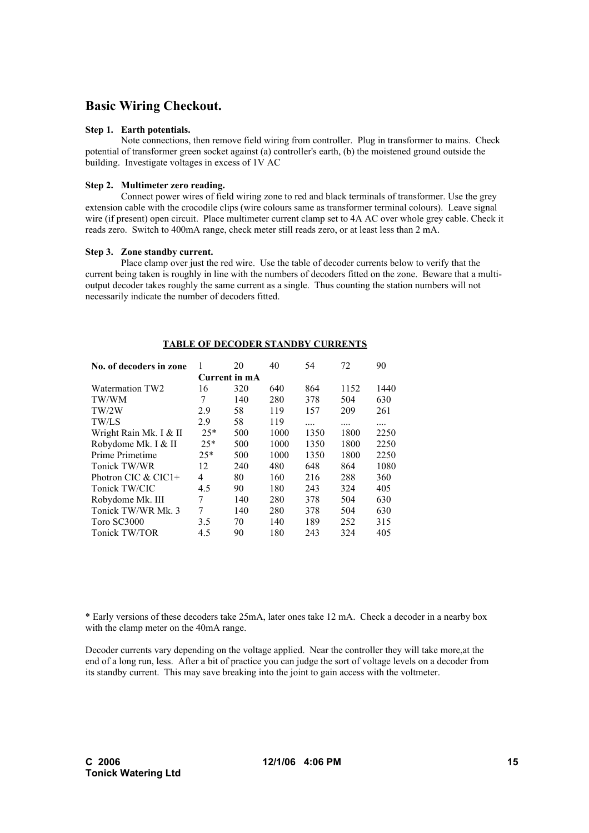# **Basic Wiring Checkout.**

### **Step 1. Earth potentials.**

Note connections, then remove field wiring from controller. Plug in transformer to mains. Check potential of transformer green socket against (a) controller's earth, (b) the moistened ground outside the building. Investigate voltages in excess of 1V AC

### **Step 2. Multimeter zero reading.**

Connect power wires of field wiring zone to red and black terminals of transformer. Use the grey extension cable with the crocodile clips (wire colours same as transformer terminal colours). Leave signal wire (if present) open circuit. Place multimeter current clamp set to 4A AC over whole grey cable. Check it reads zero. Switch to 400mA range, check meter still reads zero, or at least less than 2 mA.

#### **Step 3. Zone standby current.**

Place clamp over just the red wire. Use the table of decoder currents below to verify that the current being taken is roughly in line with the numbers of decoders fitted on the zone. Beware that a multioutput decoder takes roughly the same current as a single. Thus counting the station numbers will not necessarily indicate the number of decoders fitted.

| No. of decoders in zone | 1     | 20            | 40   | 54   | 72   | 90   |
|-------------------------|-------|---------------|------|------|------|------|
|                         |       | Current in mA |      |      |      |      |
| Watermation TW2         | 16    | 320           | 640  | 864  | 1152 | 1440 |
| TW/WM                   | 7     | 140           | 280  | 378  | 504  | 630  |
| TW/2W                   | 2.9   | 58            | 119  | 157  | 209  | 261  |
| TW/LS                   | 2.9   | 58            | 119  | .    | .    | .    |
| Wright Rain Mk. I & II  | $25*$ | 500           | 1000 | 1350 | 1800 | 2250 |
| Robydome Mk. I & II     | $25*$ | 500           | 1000 | 1350 | 1800 | 2250 |
| Prime Primetime         | $25*$ | 500           | 1000 | 1350 | 1800 | 2250 |
| Tonick TW/WR            | 12    | 240           | 480  | 648  | 864  | 1080 |
| Photron CIC & CIC1+     | 4     | 80            | 160  | 216  | 288  | 360  |
| Tonick TW/CIC           | 4.5   | 90            | 180  | 243  | 324  | 405  |
| Robydome Mk. III        | 7     | 140           | 280  | 378  | 504  | 630  |
| Tonick TW/WR Mk. 3      | 7     | 140           | 280  | 378  | 504  | 630  |
| Toro SC3000             | 3.5   | 70            | 140  | 189  | 252  | 315  |
| Tonick TW/TOR           | 4.5   | 90            | 180  | 243  | 324  | 405  |

#### **TABLE OF DECODER STANDBY CURRENTS**

\* Early versions of these decoders take 25mA, later ones take 12 mA. Check a decoder in a nearby box with the clamp meter on the 40mA range.

Decoder currents vary depending on the voltage applied. Near the controller they will take more,at the end of a long run, less. After a bit of practice you can judge the sort of voltage levels on a decoder from its standby current. This may save breaking into the joint to gain access with the voltmeter.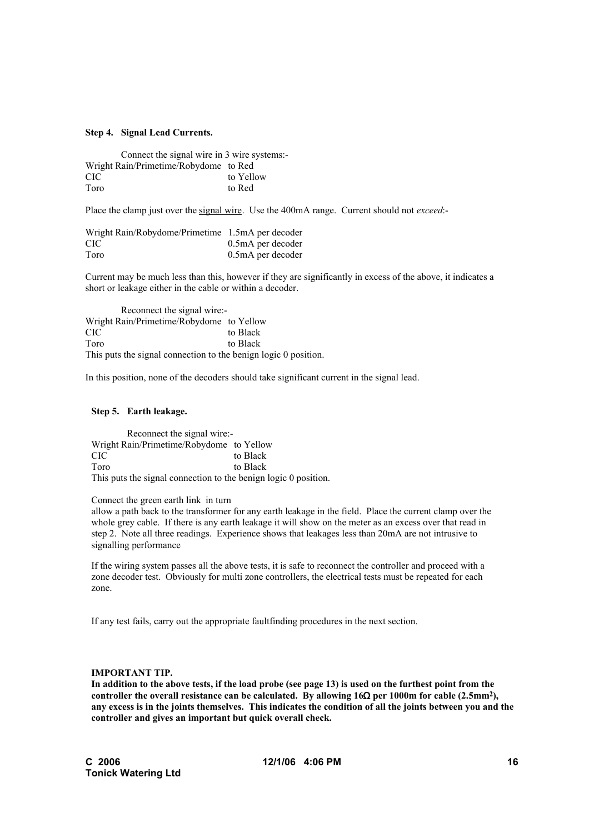#### **Step 4. Signal Lead Currents.**

Connect the signal wire in 3 wire systems:- Wright Rain/Primetime/Robydome to Red CIC to Yellow Toro to Red

Place the clamp just over the signal wire. Use the 400mA range. Current should not *exceed*:-

| Wright Rain/Robydome/Primetime 1.5mA per decoder |                   |
|--------------------------------------------------|-------------------|
| CIC.                                             | 0.5mA per decoder |
| Toro                                             | 0.5mA per decoder |

Current may be much less than this, however if they are significantly in excess of the above, it indicates a short or leakage either in the cable or within a decoder.

Reconnect the signal wire:- Wright Rain/Primetime/Robydome to Yellow CIC to Black Toro to Black This puts the signal connection to the benign logic 0 position.

In this position, none of the decoders should take significant current in the signal lead.

#### **Step 5. Earth leakage.**

Reconnect the signal wire:- Wright Rain/Primetime/Robydome to Yellow CIC to Black Toro to Black This puts the signal connection to the benign logic 0 position.

Connect the green earth link in turn

allow a path back to the transformer for any earth leakage in the field. Place the current clamp over the whole grey cable. If there is any earth leakage it will show on the meter as an excess over that read in step 2. Note all three readings. Experience shows that leakages less than 20mA are not intrusive to signalling performance

If the wiring system passes all the above tests, it is safe to reconnect the controller and proceed with a zone decoder test. Obviously for multi zone controllers, the electrical tests must be repeated for each zone.

If any test fails, carry out the appropriate faultfinding procedures in the next section.

### **IMPORTANT TIP.**

**In addition to the above tests, if the load probe (see page 13) is used on the furthest point from the controller the overall resistance can be calculated. By allowing 16**Ω **per 1000m for cable (2.5mm2), any excess is in the joints themselves. This indicates the condition of all the joints between you and the controller and gives an important but quick overall check.**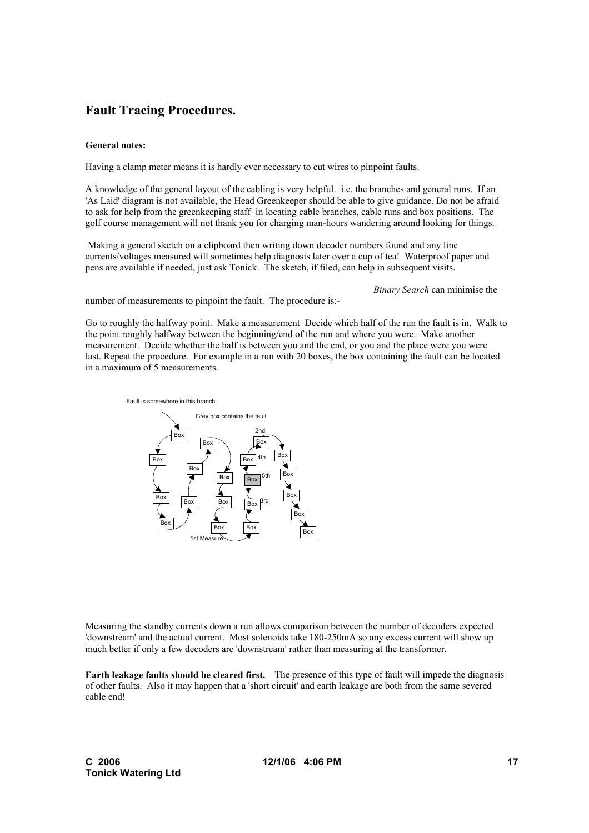# **Fault Tracing Procedures.**

## **General notes:**

Having a clamp meter means it is hardly ever necessary to cut wires to pinpoint faults.

A knowledge of the general layout of the cabling is very helpful. i.e. the branches and general runs. If an 'As Laid' diagram is not available, the Head Greenkeeper should be able to give guidance. Do not be afraid to ask for help from the greenkeeping staff in locating cable branches, cable runs and box positions. The golf course management will not thank you for charging man-hours wandering around looking for things.

 Making a general sketch on a clipboard then writing down decoder numbers found and any line currents/voltages measured will sometimes help diagnosis later over a cup of tea! Waterproof paper and pens are available if needed, just ask Tonick. The sketch, if filed, can help in subsequent visits.

*Binary Search* can minimise the

number of measurements to pinpoint the fault. The procedure is:-

Go to roughly the halfway point. Make a measurement Decide which half of the run the fault is in. Walk to the point roughly halfway between the beginning/end of the run and where you were. Make another measurement. Decide whether the half is between you and the end, or you and the place were you were last. Repeat the procedure. For example in a run with 20 boxes, the box containing the fault can be located in a maximum of 5 measurements.



Measuring the standby currents down a run allows comparison between the number of decoders expected 'downstream' and the actual current. Most solenoids take 180-250mA so any excess current will show up much better if only a few decoders are 'downstream' rather than measuring at the transformer.

**Earth leakage faults should be cleared first.** The presence of this type of fault will impede the diagnosis of other faults. Also it may happen that a 'short circuit' and earth leakage are both from the same severed cable end!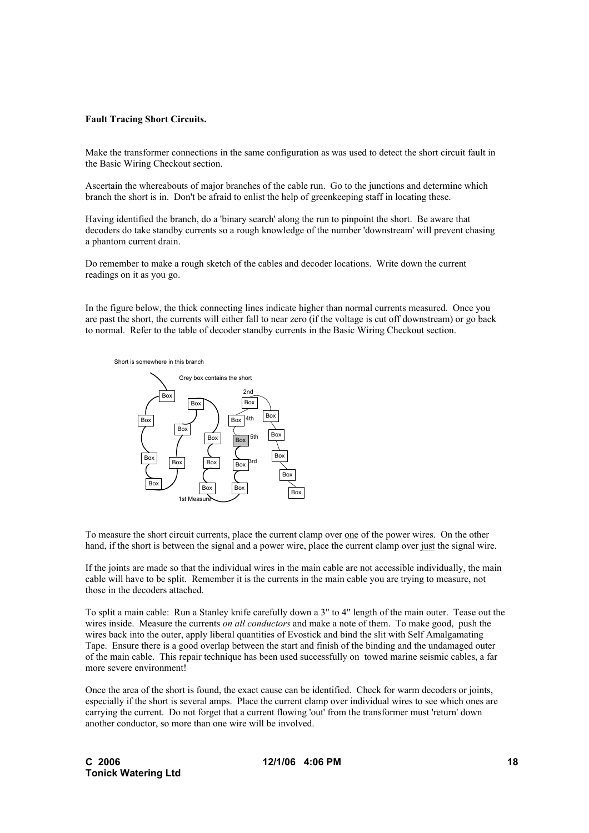#### **Fault Tracing Short Circuits.**

Make the transformer connections in the same configuration as was used to detect the short circuit fault in the Basic Wiring Checkout section.

Ascertain the whereabouts of major branches of the cable run. Go to the junctions and determine which branch the short is in. Don't be afraid to enlist the help of greenkeeping staff in locating these.

Having identified the branch, do a 'binary search' along the run to pinpoint the short. Be aware that decoders do take standby currents so a rough knowledge of the number 'downstream' will prevent chasing a phantom current drain.

Do remember to make a rough sketch of the cables and decoder locations. Write down the current readings on it as you go.

In the figure below, the thick connecting lines indicate higher than normal currents measured. Once you are past the short, the currents will either fall to near zero (if the voltage is cut off downstream) or go back to normal. Refer to the table of decoder standby currents in the Basic Wiring Checkout section.



To measure the short circuit currents, place the current clamp over one of the power wires. On the other hand, if the short is between the signal and a power wire, place the current clamp over just the signal wire.

If the joints are made so that the individual wires in the main cable are not accessible individually, the main cable will have to be split. Remember it is the currents in the main cable you are trying to measure, not those in the decoders attached.

To split a main cable: Run a Stanley knife carefully down a 3" to 4" length of the main outer. Tease out the wires inside. Measure the currents *on all conductors* and make a note of them. To make good, push the wires back into the outer, apply liberal quantities of Evostick and bind the slit with Self Amalgamating Tape. Ensure there is a good overlap between the start and finish of the binding and the undamaged outer of the main cable. This repair technique has been used successfully on towed marine seismic cables, a far more severe environment!

Once the area of the short is found, the exact cause can be identified. Check for warm decoders or joints, especially if the short is several amps. Place the current clamp over individual wires to see which ones are carrying the current. Do not forget that a current flowing 'out' from the transformer must 'return' down another conductor, so more than one wire will be involved.

**12/1/06 4:06 PM 18**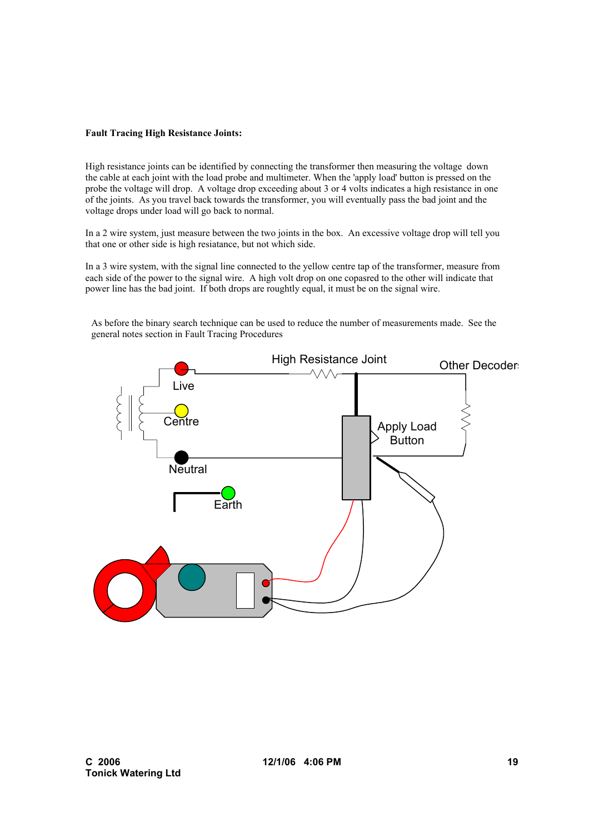## **Fault Tracing High Resistance Joints:**

High resistance joints can be identified by connecting the transformer then measuring the voltage down the cable at each joint with the load probe and multimeter. When the 'apply load' button is pressed on the probe the voltage will drop. A voltage drop exceeding about 3 or 4 volts indicates a high resistance in one of the joints. As you travel back towards the transformer, you will eventually pass the bad joint and the voltage drops under load will go back to normal.

In a 2 wire system, just measure between the two joints in the box. An excessive voltage drop will tell you that one or other side is high resiatance, but not which side.

In a 3 wire system, with the signal line connected to the yellow centre tap of the transformer, measure from each side of the power to the signal wire. A high volt drop on one copasred to the other will indicate that power line has the bad joint. If both drops are roughtly equal, it must be on the signal wire.



As before the binary search technique can be used to reduce the number of measurements made. See the general notes section in Fault Tracing Procedures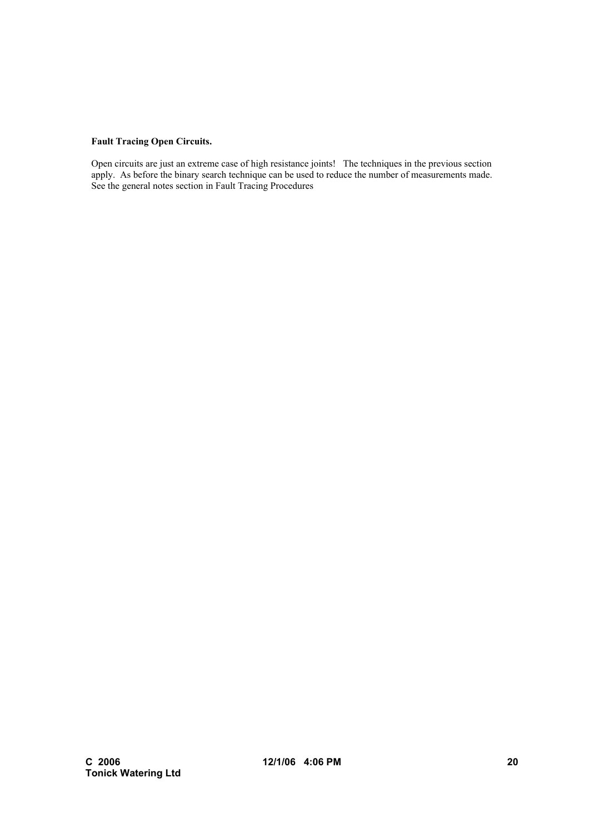# **Fault Tracing Open Circuits.**

Open circuits are just an extreme case of high resistance joints! The techniques in the previous section apply. As before the binary search technique can be used to reduce the number of measurements made. See the general notes section in Fault Tracing Procedures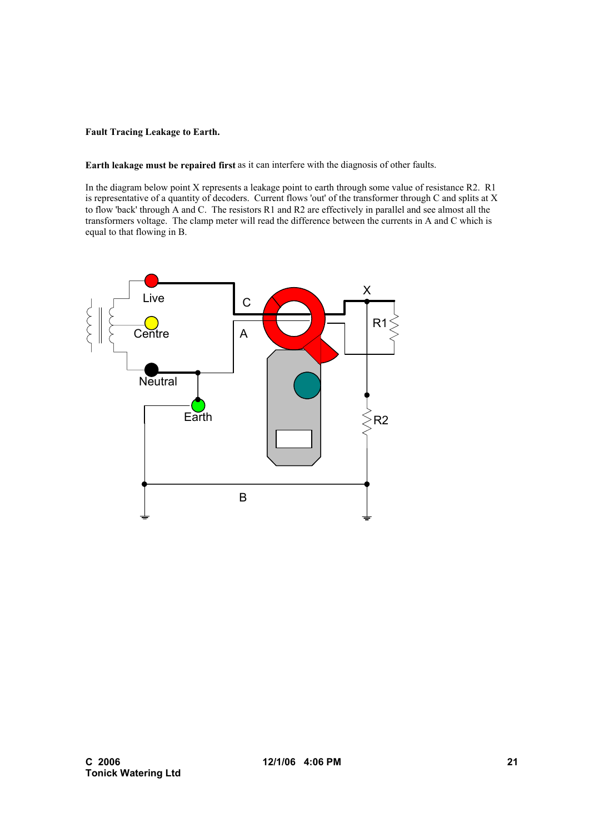## **Fault Tracing Leakage to Earth.**

**Earth leakage must be repaired first** as it can interfere with the diagnosis of other faults.

In the diagram below point X represents a leakage point to earth through some value of resistance R2. R1 is representative of a quantity of decoders. Current flows 'out' of the transformer through C and splits at X to flow 'back' through A and C. The resistors R1 and R2 are effectively in parallel and see almost all the transformers voltage. The clamp meter will read the difference between the currents in A and C which is equal to that flowing in B.

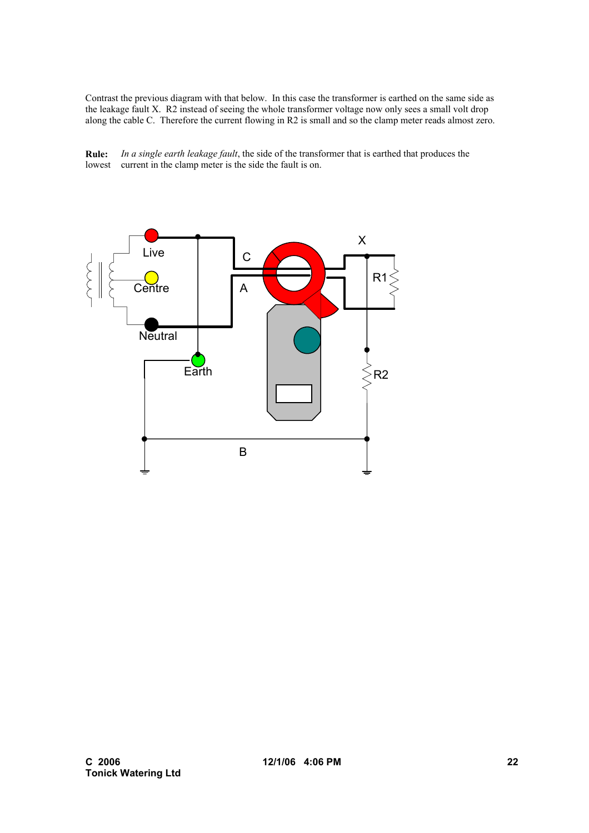Contrast the previous diagram with that below. In this case the transformer is earthed on the same side as the leakage fault X. R2 instead of seeing the whole transformer voltage now only sees a small volt drop along the cable C. Therefore the current flowing in R2 is small and so the clamp meter reads almost zero.



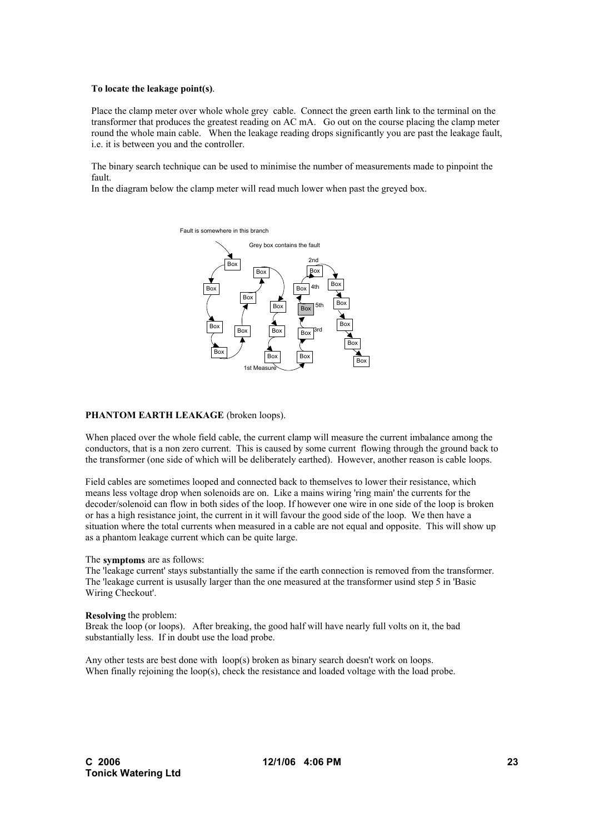#### **To locate the leakage point(s)**.

Place the clamp meter over whole whole grey cable. Connect the green earth link to the terminal on the transformer that produces the greatest reading on AC mA. Go out on the course placing the clamp meter round the whole main cable. When the leakage reading drops significantly you are past the leakage fault, i.e. it is between you and the controller.

The binary search technique can be used to minimise the number of measurements made to pinpoint the fault.

In the diagram below the clamp meter will read much lower when past the greyed box.



#### **PHANTOM EARTH LEAKAGE** (broken loops).

When placed over the whole field cable, the current clamp will measure the current imbalance among the conductors, that is a non zero current. This is caused by some current flowing through the ground back to the transformer (one side of which will be deliberately earthed). However, another reason is cable loops.

Field cables are sometimes looped and connected back to themselves to lower their resistance, which means less voltage drop when solenoids are on. Like a mains wiring 'ring main' the currents for the decoder/solenoid can flow in both sides of the loop. If however one wire in one side of the loop is broken or has a high resistance joint, the current in it will favour the good side of the loop. We then have a situation where the total currents when measured in a cable are not equal and opposite. This will show up as a phantom leakage current which can be quite large.

#### The **symptoms** are as follows:

The 'leakage current' stays substantially the same if the earth connection is removed from the transformer. The 'leakage current is ususally larger than the one measured at the transformer usind step 5 in 'Basic Wiring Checkout'.

#### **Resolving** the problem:

Break the loop (or loops). After breaking, the good half will have nearly full volts on it, the bad substantially less. If in doubt use the load probe.

Any other tests are best done with loop(s) broken as binary search doesn't work on loops. When finally rejoining the loop(s), check the resistance and loaded voltage with the load probe.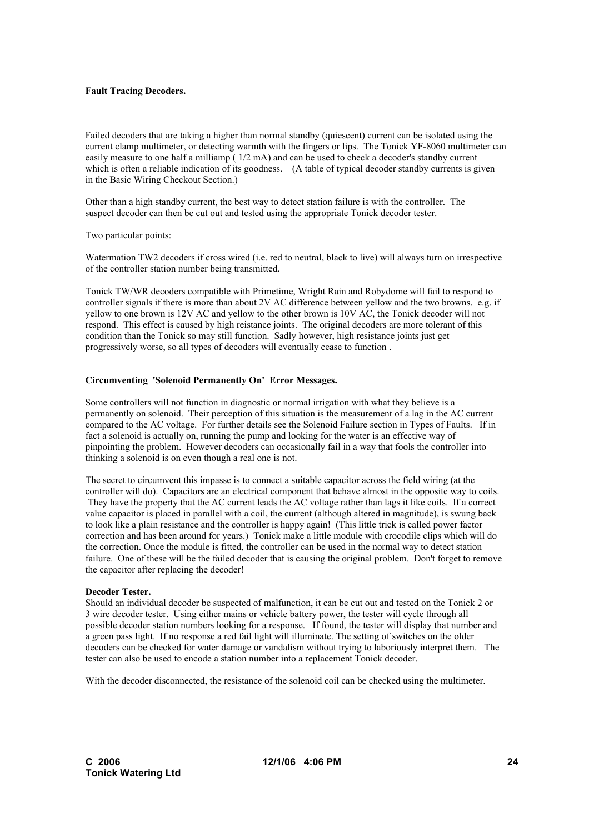### **Fault Tracing Decoders.**

Failed decoders that are taking a higher than normal standby (quiescent) current can be isolated using the current clamp multimeter, or detecting warmth with the fingers or lips. The Tonick YF-8060 multimeter can easily measure to one half a milliamp ( 1/2 mA) and can be used to check a decoder's standby current which is often a reliable indication of its goodness. (A table of typical decoder standby currents is given in the Basic Wiring Checkout Section.)

Other than a high standby current, the best way to detect station failure is with the controller. The suspect decoder can then be cut out and tested using the appropriate Tonick decoder tester.

Two particular points:

Watermation TW2 decoders if cross wired (i.e. red to neutral, black to live) will always turn on irrespective of the controller station number being transmitted.

Tonick TW/WR decoders compatible with Primetime, Wright Rain and Robydome will fail to respond to controller signals if there is more than about 2V AC difference between yellow and the two browns. e.g. if yellow to one brown is 12V AC and yellow to the other brown is 10V AC, the Tonick decoder will not respond. This effect is caused by high reistance joints. The original decoders are more tolerant of this condition than the Tonick so may still function. Sadly however, high resistance joints just get progressively worse, so all types of decoders will eventually cease to function .

## **Circumventing 'Solenoid Permanently On' Error Messages.**

Some controllers will not function in diagnostic or normal irrigation with what they believe is a permanently on solenoid. Their perception of this situation is the measurement of a lag in the AC current compared to the AC voltage. For further details see the Solenoid Failure section in Types of Faults. If in fact a solenoid is actually on, running the pump and looking for the water is an effective way of pinpointing the problem. However decoders can occasionally fail in a way that fools the controller into thinking a solenoid is on even though a real one is not.

The secret to circumvent this impasse is to connect a suitable capacitor across the field wiring (at the controller will do). Capacitors are an electrical component that behave almost in the opposite way to coils. They have the property that the AC current leads the AC voltage rather than lags it like coils. If a correct value capacitor is placed in parallel with a coil, the current (although altered in magnitude), is swung back to look like a plain resistance and the controller is happy again! (This little trick is called power factor correction and has been around for years.) Tonick make a little module with crocodile clips which will do the correction. Once the module is fitted, the controller can be used in the normal way to detect station failure. One of these will be the failed decoder that is causing the original problem. Don't forget to remove the capacitor after replacing the decoder!

#### **Decoder Tester.**

Should an individual decoder be suspected of malfunction, it can be cut out and tested on the Tonick 2 or 3 wire decoder tester. Using either mains or vehicle battery power, the tester will cycle through all possible decoder station numbers looking for a response. If found, the tester will display that number and a green pass light. If no response a red fail light will illuminate. The setting of switches on the older decoders can be checked for water damage or vandalism without trying to laboriously interpret them. The tester can also be used to encode a station number into a replacement Tonick decoder.

With the decoder disconnected, the resistance of the solenoid coil can be checked using the multimeter.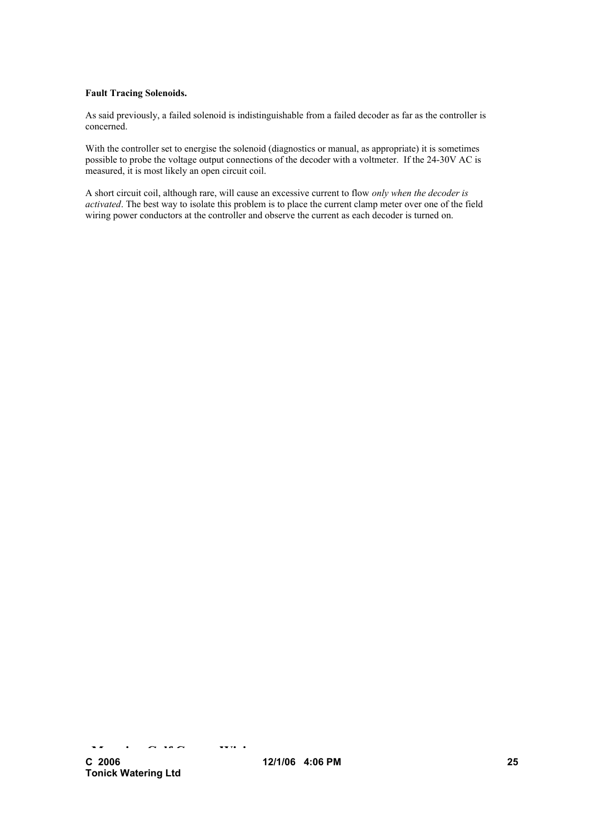### **Fault Tracing Solenoids.**

As said previously, a failed solenoid is indistinguishable from a failed decoder as far as the controller is concerned.

With the controller set to energise the solenoid (diagnostics or manual, as appropriate) it is sometimes possible to probe the voltage output connections of the decoder with a voltmeter. If the 24-30V AC is measured, it is most likely an open circuit coil.

A short circuit coil, although rare, will cause an excessive current to flow *only when the decoder is activated*. The best way to isolate this problem is to place the current clamp meter over one of the field wiring power conductors at the controller and observe the current as each decoder is turned on.

**M i** G **i**  $\alpha$  **with**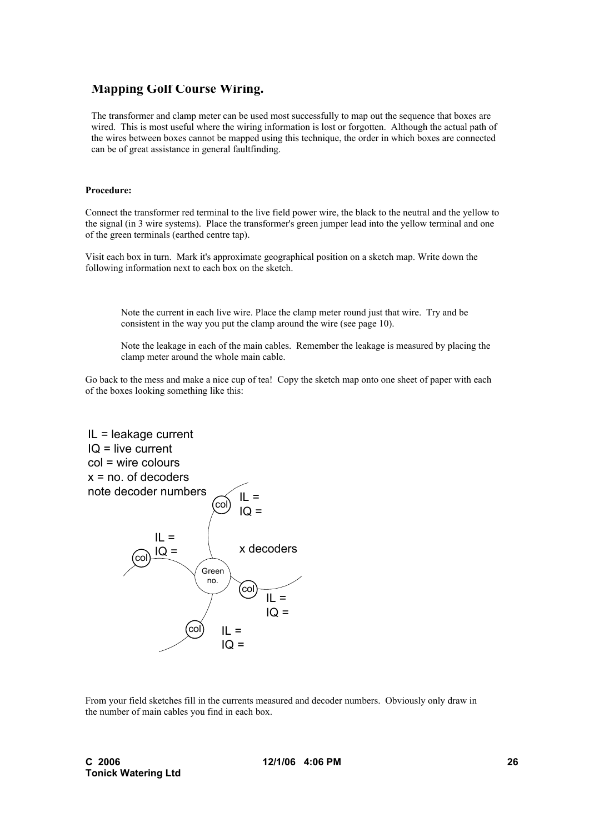## **Mapping Golf Course Wiring.**

The transformer and clamp meter can be used most successfully to map out the sequence that boxes are wired. This is most useful where the wiring information is lost or forgotten. Although the actual path of the wires between boxes cannot be mapped using this technique, the order in which boxes are connected can be of great assistance in general faultfinding.

### **Procedure:**

Connect the transformer red terminal to the live field power wire, the black to the neutral and the yellow to the signal (in 3 wire systems). Place the transformer's green jumper lead into the yellow terminal and one of the green terminals (earthed centre tap).

Visit each box in turn. Mark it's approximate geographical position on a sketch map. Write down the following information next to each box on the sketch.

Note the current in each live wire. Place the clamp meter round just that wire. Try and be consistent in the way you put the clamp around the wire (see page 10).

Note the leakage in each of the main cables. Remember the leakage is measured by placing the clamp meter around the whole main cable.

Go back to the mess and make a nice cup of tea! Copy the sketch map onto one sheet of paper with each of the boxes looking something like this:



From your field sketches fill in the currents measured and decoder numbers. Obviously only draw in the number of main cables you find in each box.

**12/1/06 4:06 PM 26**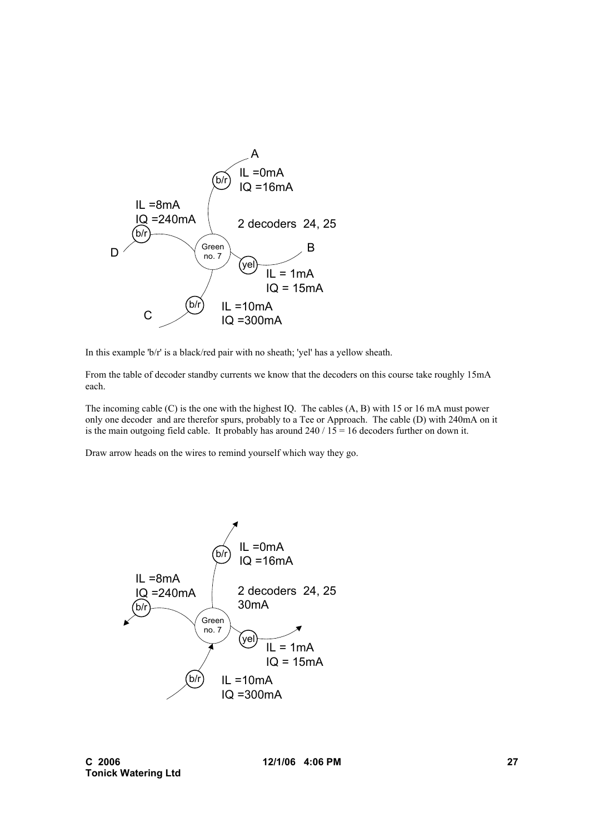

In this example 'b/r' is a black/red pair with no sheath; 'yel' has a yellow sheath.

From the table of decoder standby currents we know that the decoders on this course take roughly 15mA each.

The incoming cable (C) is the one with the highest IQ. The cables (A, B) with 15 or 16 mA must power only one decoder and are therefor spurs, probably to a Tee or Approach. The cable (D) with 240mA on it is the main outgoing field cable. It probably has around  $240 / 15 = 16$  decoders further on down it.

Draw arrow heads on the wires to remind yourself which way they go.



**12/1/06 4:06 PM 27**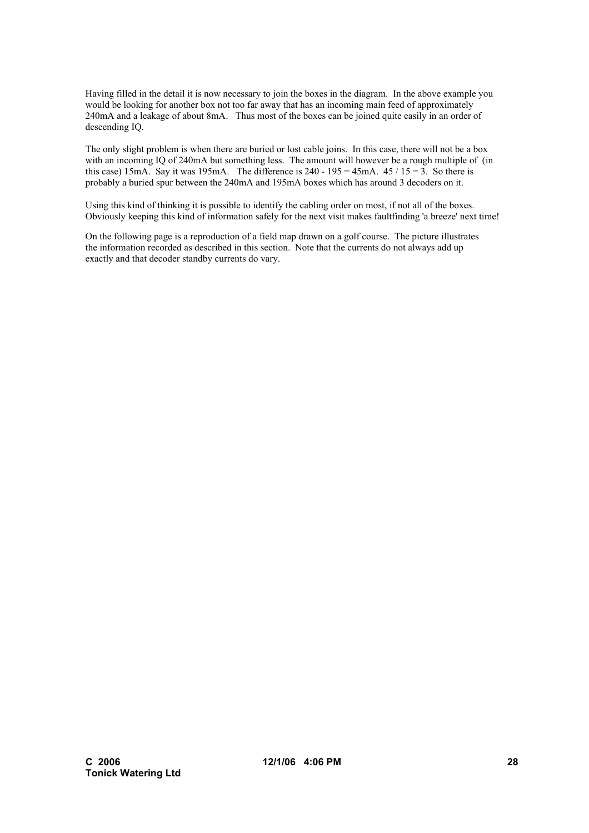Having filled in the detail it is now necessary to join the boxes in the diagram. In the above example you would be looking for another box not too far away that has an incoming main feed of approximately 240mA and a leakage of about 8mA. Thus most of the boxes can be joined quite easily in an order of descending IQ.

The only slight problem is when there are buried or lost cable joins. In this case, there will not be a box with an incoming IQ of 240mA but something less. The amount will however be a rough multiple of (in this case) 15mA. Say it was 195mA. The difference is 240 - 195 = 45mA.  $45 / 15 = 3$ . So there is probably a buried spur between the 240mA and 195mA boxes which has around 3 decoders on it.

Using this kind of thinking it is possible to identify the cabling order on most, if not all of the boxes. Obviously keeping this kind of information safely for the next visit makes faultfinding 'a breeze' next time!

On the following page is a reproduction of a field map drawn on a golf course. The picture illustrates the information recorded as described in this section. Note that the currents do not always add up exactly and that decoder standby currents do vary.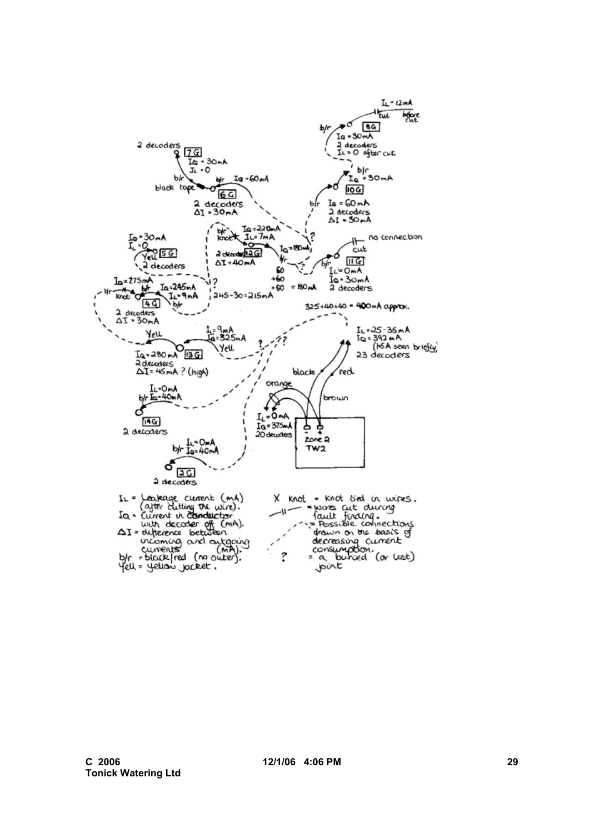